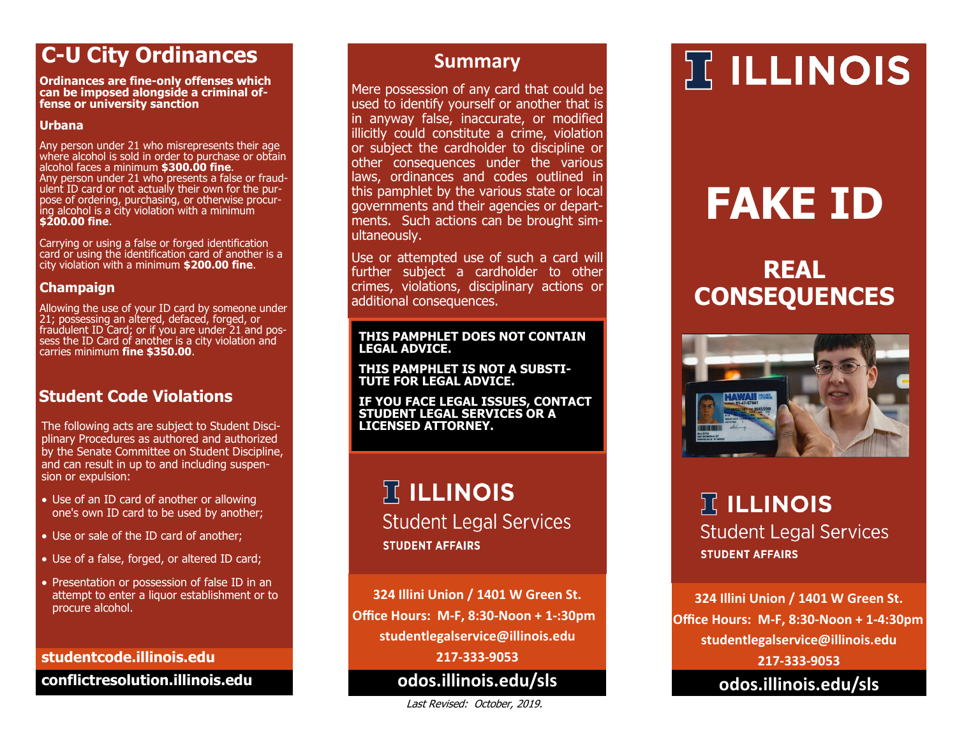### **C-U City Ordinances**

**Ordinances are fine-only offenses which can be imposed alongside a criminal offense or university sanction**

### **Urbana**

Any person under 21 who misrepresents their age where alcohol is sold in order to purchase or obtain alcohol faces a minimum **\$300.00 fine**. Any person under 21 who presents a false or fraudulent ID card or not actually their own for the purpose of ordering, purchasing, or otherwise procuring alcohol is a city violation with a minimum **\$200.00 fine**.

Carrying or using a false or forged identification card or using the identification card of another is a city violation with a minimum **\$200.00 fine**.

### **Champaign**

Allowing the use of your ID card by someone under 21; possessing an altered, defaced, forged, or fraudulent ID Card; or if you are under 21 and possess the ID Card of another is a city violation and carries minimum **fine \$350.00**.

### **Student Code Violations**

The following acts are subject to Student Disciplinary Procedures as authored and authorized by the Senate Committee on Student Discipline, and can result in up to and including suspension or expulsion:

- Use of an ID card of another or allowing one's own ID card to be used by another;
- Use or sale of the ID card of another;
- Use of a false, forged, or altered ID card;
- Presentation or possession of false ID in an attempt to enter a liquor establishment or to procure alcohol.

### **studentcode.illinois.edu**

**conflictresolution.illinois.edu**

### **Summary**

Mere possession of any card that could be used to identify yourself or another that is in anyway false, inaccurate, or modified illicitly could constitute a crime, violation or subject the cardholder to discipline or other consequences under the various laws, ordinances and codes outlined in this pamphlet by the various state or local governments and their agencies or departments. Such actions can be brought simultaneously.

Use or attempted use of such a card will further subject a cardholder to other crimes, violations, disciplinary actions or additional consequences.

### **THIS PAMPHLET DOES NOT CONTAIN LEGAL ADVICE.**

**THIS PAMPHLET IS NOT A SUBSTI-TUTE FOR LEGAL ADVICE.** 

**IF YOU FACE LEGAL ISSUES, CONTACT STUDENT LEGAL SERVICES OR A LICENSED ATTORNEY.**

### $\mathbb{R}$  ILLINOIS **Student Legal Services STUDENT AFFAIRS**

**324 Illini Union / 1401 W Green St. Office Hours: M-F, 8:30-Noon + 1-:30pm studentlegalservice@illinois.edu 217-333-9053**

**odos.illinois.edu/sls**

Last Revised: October, 2019.

## **IT ILLINOIS**

# **FAKE ID**

## **REAL CONSEQUENCES**



 $\mathbb F$  ILLINOIS **Student Legal Services STUDENT AFFAIRS** 

**324 Illini Union / 1401 W Green St. Office Hours: M-F, 8:30-Noon + 1-4:30pm studentlegalservice@illinois.edu 217-333-9053**

**odos.illinois.edu/sls**